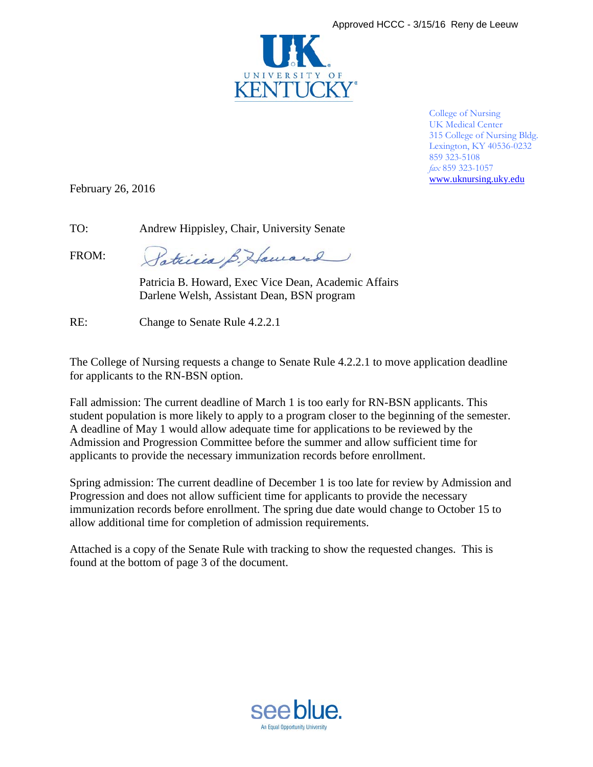

College of Nursing UK Medical Center 315 College of Nursing Bldg. Lexington, KY 40536-0232 859 323-5108 *fax* 859 323-1057 [www.uknursing.uky.edu](http://www.uknursing.uky.edu/)

February 26, 2016

TO: Andrew Hippisley, Chair, University Senate

FROM:

Patricia B. Haward

Patricia B. Howard, Exec Vice Dean, Academic Affairs Darlene Welsh, Assistant Dean, BSN program

RE: Change to Senate Rule 4.2.2.1

The College of Nursing requests a change to Senate Rule 4.2.2.1 to move application deadline for applicants to the RN-BSN option.

Fall admission: The current deadline of March 1 is too early for RN-BSN applicants. This student population is more likely to apply to a program closer to the beginning of the semester. A deadline of May 1 would allow adequate time for applications to be reviewed by the Admission and Progression Committee before the summer and allow sufficient time for applicants to provide the necessary immunization records before enrollment.

Spring admission: The current deadline of December 1 is too late for review by Admission and Progression and does not allow sufficient time for applicants to provide the necessary immunization records before enrollment. The spring due date would change to October 15 to allow additional time for completion of admission requirements.

Attached is a copy of the Senate Rule with tracking to show the requested changes. This is found at the bottom of page 3 of the document.

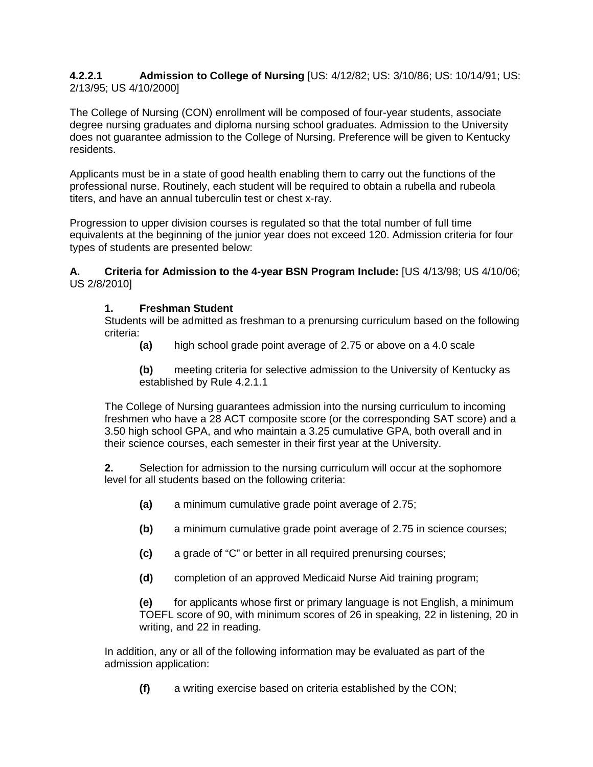## **4.2.2.1 Admission to College of Nursing** [US: 4/12/82; US: 3/10/86; US: 10/14/91; US: 2/13/95; US 4/10/2000]

The College of Nursing (CON) enrollment will be composed of four-year students, associate degree nursing graduates and diploma nursing school graduates. Admission to the University does not guarantee admission to the College of Nursing. Preference will be given to Kentucky residents.

Applicants must be in a state of good health enabling them to carry out the functions of the professional nurse. Routinely, each student will be required to obtain a rubella and rubeola titers, and have an annual tuberculin test or chest x-ray.

Progression to upper division courses is regulated so that the total number of full time equivalents at the beginning of the junior year does not exceed 120. Admission criteria for four types of students are presented below:

**A. Criteria for Admission to the 4-year BSN Program Include:** [US 4/13/98; US 4/10/06; US 2/8/2010]

## **1. Freshman Student**

Students will be admitted as freshman to a prenursing curriculum based on the following criteria:

**(a)** high school grade point average of 2.75 or above on a 4.0 scale

**(b)** meeting criteria for selective admission to the University of Kentucky as established by Rule 4.2.1.1

The College of Nursing guarantees admission into the nursing curriculum to incoming freshmen who have a 28 ACT composite score (or the corresponding SAT score) and a 3.50 high school GPA, and who maintain a 3.25 cumulative GPA, both overall and in their science courses, each semester in their first year at the University.

**2.** Selection for admission to the nursing curriculum will occur at the sophomore level for all students based on the following criteria:

- **(a)** a minimum cumulative grade point average of 2.75;
- **(b)** a minimum cumulative grade point average of 2.75 in science courses;
- **(c)** a grade of "C" or better in all required prenursing courses;
- **(d)** completion of an approved Medicaid Nurse Aid training program;

**(e)** for applicants whose first or primary language is not English, a minimum TOEFL score of 90, with minimum scores of 26 in speaking, 22 in listening, 20 in writing, and 22 in reading.

In addition, any or all of the following information may be evaluated as part of the admission application:

**(f)** a writing exercise based on criteria established by the CON;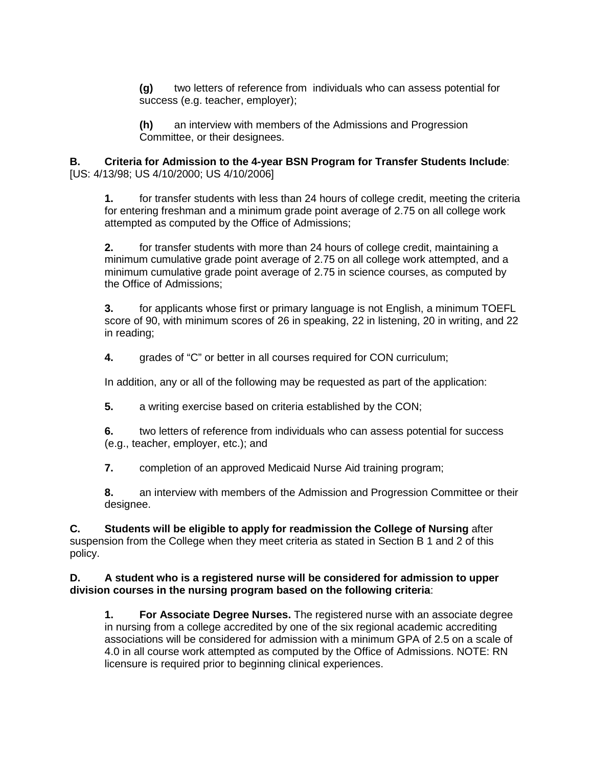**(g)** two letters of reference from individuals who can assess potential for success (e.g. teacher, employer);

**(h)** an interview with members of the Admissions and Progression Committee, or their designees.

**B. Criteria for Admission to the 4-year BSN Program for Transfer Students Include**: [US: 4/13/98; US 4/10/2000; US 4/10/2006]

**1.** for transfer students with less than 24 hours of college credit, meeting the criteria for entering freshman and a minimum grade point average of 2.75 on all college work attempted as computed by the Office of Admissions;

**2.** for transfer students with more than 24 hours of college credit, maintaining a minimum cumulative grade point average of 2.75 on all college work attempted, and a minimum cumulative grade point average of 2.75 in science courses, as computed by the Office of Admissions;

**3.** for applicants whose first or primary language is not English, a minimum TOEFL score of 90, with minimum scores of 26 in speaking, 22 in listening, 20 in writing, and 22 in reading;

**4.** grades of "C" or better in all courses required for CON curriculum;

In addition, any or all of the following may be requested as part of the application:

**5.** a writing exercise based on criteria established by the CON;

**6.** two letters of reference from individuals who can assess potential for success (e.g., teacher, employer, etc.); and

**7.** completion of an approved Medicaid Nurse Aid training program;

**8.** an interview with members of the Admission and Progression Committee or their designee.

**C. Students will be eligible to apply for readmission the College of Nursing** after suspension from the College when they meet criteria as stated in Section B 1 and 2 of this policy.

## **D. A student who is a registered nurse will be considered for admission to upper division courses in the nursing program based on the following criteria**:

**1. For Associate Degree Nurses.** The registered nurse with an associate degree in nursing from a college accredited by one of the six regional academic accrediting associations will be considered for admission with a minimum GPA of 2.5 on a scale of 4.0 in all course work attempted as computed by the Office of Admissions. NOTE: RN licensure is required prior to beginning clinical experiences.